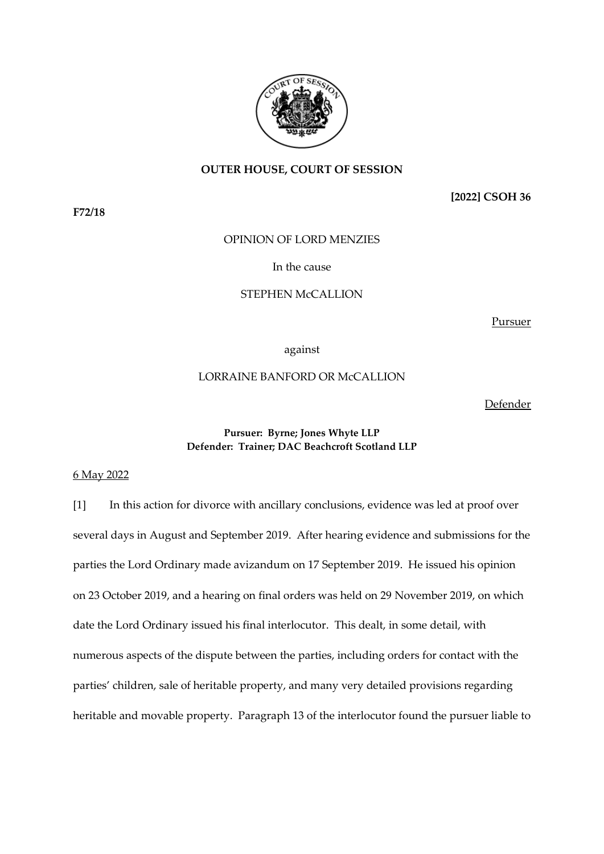

# **OUTER HOUSE, COURT OF SESSION**

**F72/18**

**[2022] CSOH 36**

OPINION OF LORD MENZIES

In the cause

# STEPHEN McCALLION

Pursuer

against

# LORRAINE BANFORD OR McCALLION

Defender

### **Pursuer: Byrne; Jones Whyte LLP Defender: Trainer; DAC Beachcroft Scotland LLP**

6 May 2022

[1] In this action for divorce with ancillary conclusions, evidence was led at proof over several days in August and September 2019. After hearing evidence and submissions for the parties the Lord Ordinary made avizandum on 17 September 2019. He issued his opinion on 23 October 2019, and a hearing on final orders was held on 29 November 2019, on which date the Lord Ordinary issued his final interlocutor. This dealt, in some detail, with numerous aspects of the dispute between the parties, including orders for contact with the parties' children, sale of heritable property, and many very detailed provisions regarding heritable and movable property. Paragraph 13 of the interlocutor found the pursuer liable to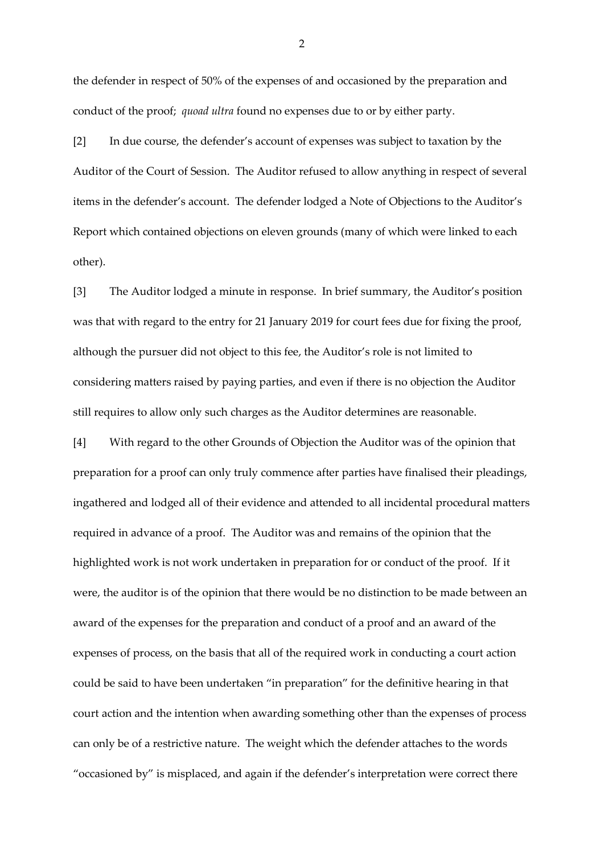the defender in respect of 50% of the expenses of and occasioned by the preparation and conduct of the proof; *quoad ultra* found no expenses due to or by either party.

[2] In due course, the defender's account of expenses was subject to taxation by the Auditor of the Court of Session. The Auditor refused to allow anything in respect of several items in the defender's account. The defender lodged a Note of Objections to the Auditor's Report which contained objections on eleven grounds (many of which were linked to each other).

[3] The Auditor lodged a minute in response. In brief summary, the Auditor's position was that with regard to the entry for 21 January 2019 for court fees due for fixing the proof, although the pursuer did not object to this fee, the Auditor's role is not limited to considering matters raised by paying parties, and even if there is no objection the Auditor still requires to allow only such charges as the Auditor determines are reasonable.

[4] With regard to the other Grounds of Objection the Auditor was of the opinion that preparation for a proof can only truly commence after parties have finalised their pleadings, ingathered and lodged all of their evidence and attended to all incidental procedural matters required in advance of a proof. The Auditor was and remains of the opinion that the highlighted work is not work undertaken in preparation for or conduct of the proof. If it were, the auditor is of the opinion that there would be no distinction to be made between an award of the expenses for the preparation and conduct of a proof and an award of the expenses of process, on the basis that all of the required work in conducting a court action could be said to have been undertaken "in preparation" for the definitive hearing in that court action and the intention when awarding something other than the expenses of process can only be of a restrictive nature. The weight which the defender attaches to the words "occasioned by" is misplaced, and again if the defender's interpretation were correct there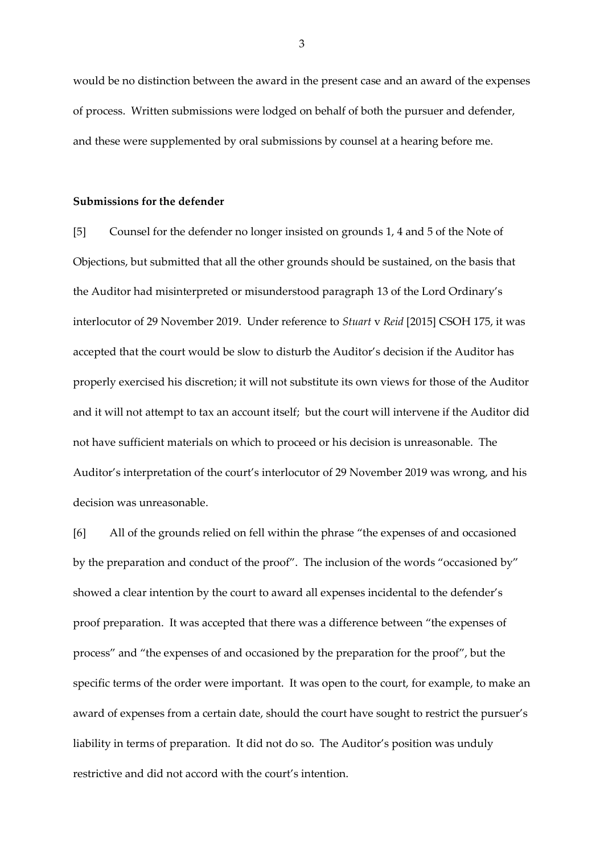would be no distinction between the award in the present case and an award of the expenses of process. Written submissions were lodged on behalf of both the pursuer and defender, and these were supplemented by oral submissions by counsel at a hearing before me.

### **Submissions for the defender**

[5] Counsel for the defender no longer insisted on grounds 1, 4 and 5 of the Note of Objections, but submitted that all the other grounds should be sustained, on the basis that the Auditor had misinterpreted or misunderstood paragraph 13 of the Lord Ordinary's interlocutor of 29 November 2019. Under reference to *Stuart* v *Reid* [2015] CSOH 175, it was accepted that the court would be slow to disturb the Auditor's decision if the Auditor has properly exercised his discretion; it will not substitute its own views for those of the Auditor and it will not attempt to tax an account itself; but the court will intervene if the Auditor did not have sufficient materials on which to proceed or his decision is unreasonable. The Auditor's interpretation of the court's interlocutor of 29 November 2019 was wrong, and his decision was unreasonable.

[6] All of the grounds relied on fell within the phrase "the expenses of and occasioned by the preparation and conduct of the proof". The inclusion of the words "occasioned by" showed a clear intention by the court to award all expenses incidental to the defender's proof preparation. It was accepted that there was a difference between "the expenses of process" and "the expenses of and occasioned by the preparation for the proof", but the specific terms of the order were important. It was open to the court, for example, to make an award of expenses from a certain date, should the court have sought to restrict the pursuer's liability in terms of preparation. It did not do so. The Auditor's position was unduly restrictive and did not accord with the court's intention.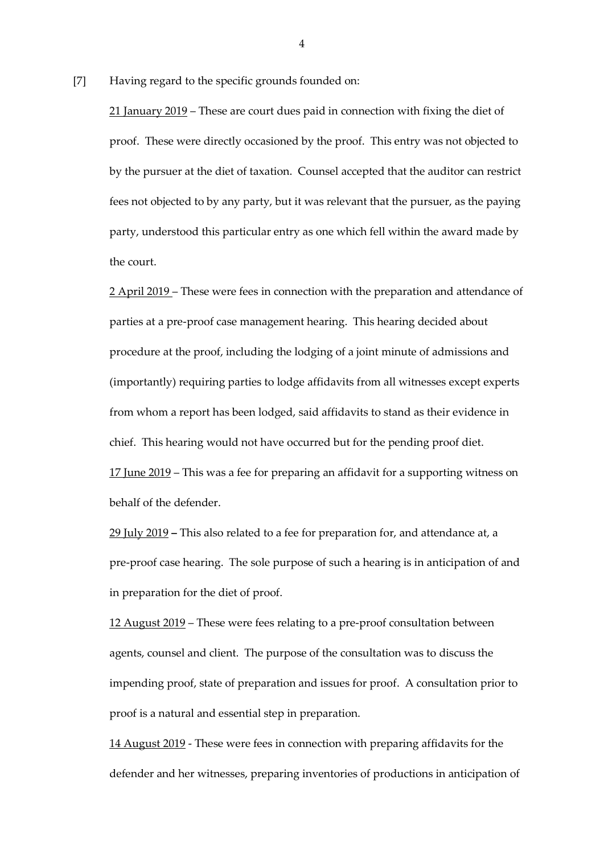[7] Having regard to the specific grounds founded on:

21 January 2019 – These are court dues paid in connection with fixing the diet of proof. These were directly occasioned by the proof. This entry was not objected to by the pursuer at the diet of taxation. Counsel accepted that the auditor can restrict fees not objected to by any party, but it was relevant that the pursuer, as the paying party, understood this particular entry as one which fell within the award made by the court.

2 April 2019 – These were fees in connection with the preparation and attendance of parties at a pre-proof case management hearing. This hearing decided about procedure at the proof, including the lodging of a joint minute of admissions and (importantly) requiring parties to lodge affidavits from all witnesses except experts from whom a report has been lodged, said affidavits to stand as their evidence in chief. This hearing would not have occurred but for the pending proof diet. 17 June 2019 – This was a fee for preparing an affidavit for a supporting witness on behalf of the defender.

29 July 2019 **–** This also related to a fee for preparation for, and attendance at, a pre-proof case hearing. The sole purpose of such a hearing is in anticipation of and in preparation for the diet of proof.

12 August 2019 – These were fees relating to a pre-proof consultation between agents, counsel and client. The purpose of the consultation was to discuss the impending proof, state of preparation and issues for proof. A consultation prior to proof is a natural and essential step in preparation.

14 August 2019 - These were fees in connection with preparing affidavits for the defender and her witnesses, preparing inventories of productions in anticipation of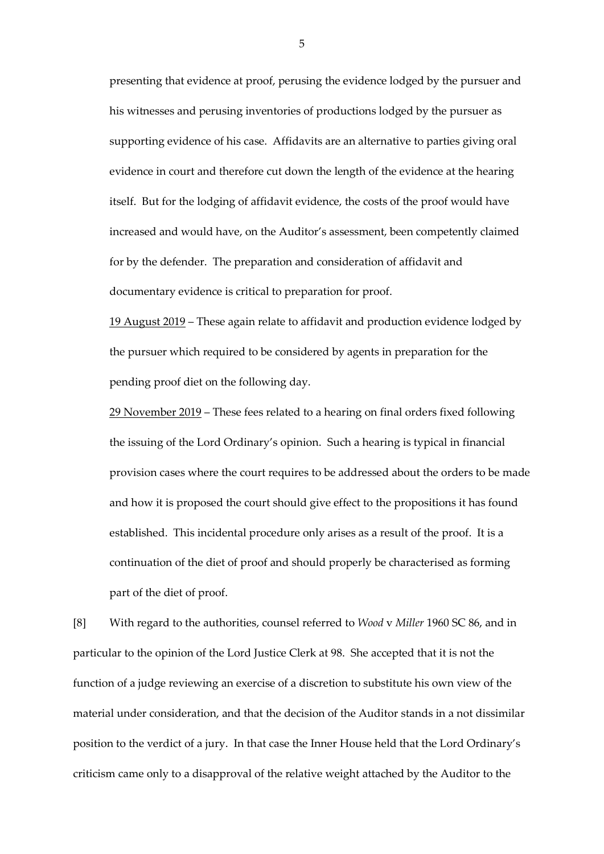presenting that evidence at proof, perusing the evidence lodged by the pursuer and his witnesses and perusing inventories of productions lodged by the pursuer as supporting evidence of his case. Affidavits are an alternative to parties giving oral evidence in court and therefore cut down the length of the evidence at the hearing itself. But for the lodging of affidavit evidence, the costs of the proof would have increased and would have, on the Auditor's assessment, been competently claimed for by the defender. The preparation and consideration of affidavit and documentary evidence is critical to preparation for proof.

19 August 2019 – These again relate to affidavit and production evidence lodged by the pursuer which required to be considered by agents in preparation for the pending proof diet on the following day.

29 November 2019 – These fees related to a hearing on final orders fixed following the issuing of the Lord Ordinary's opinion. Such a hearing is typical in financial provision cases where the court requires to be addressed about the orders to be made and how it is proposed the court should give effect to the propositions it has found established. This incidental procedure only arises as a result of the proof. It is a continuation of the diet of proof and should properly be characterised as forming part of the diet of proof.

[8] With regard to the authorities, counsel referred to *Wood* v *Miller* 1960 SC 86, and in particular to the opinion of the Lord Justice Clerk at 98. She accepted that it is not the function of a judge reviewing an exercise of a discretion to substitute his own view of the material under consideration, and that the decision of the Auditor stands in a not dissimilar position to the verdict of a jury. In that case the Inner House held that the Lord Ordinary's criticism came only to a disapproval of the relative weight attached by the Auditor to the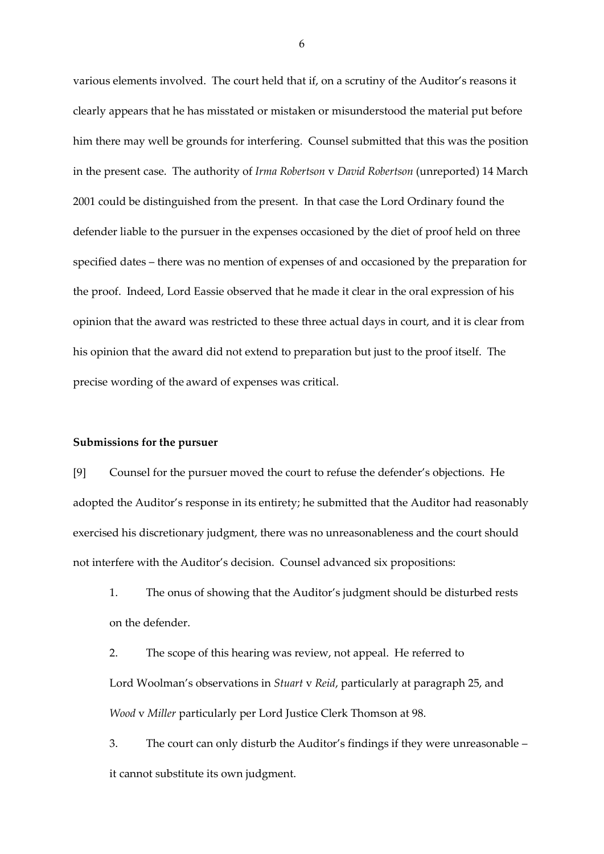various elements involved. The court held that if, on a scrutiny of the Auditor's reasons it clearly appears that he has misstated or mistaken or misunderstood the material put before him there may well be grounds for interfering. Counsel submitted that this was the position in the present case. The authority of *Irma Robertson* v *David Robertson* (unreported) 14 March 2001 could be distinguished from the present. In that case the Lord Ordinary found the defender liable to the pursuer in the expenses occasioned by the diet of proof held on three specified dates – there was no mention of expenses of and occasioned by the preparation for the proof. Indeed, Lord Eassie observed that he made it clear in the oral expression of his opinion that the award was restricted to these three actual days in court, and it is clear from his opinion that the award did not extend to preparation but just to the proof itself. The precise wording of the award of expenses was critical.

### **Submissions for the pursuer**

[9] Counsel for the pursuer moved the court to refuse the defender's objections. He adopted the Auditor's response in its entirety; he submitted that the Auditor had reasonably exercised his discretionary judgment, there was no unreasonableness and the court should not interfere with the Auditor's decision. Counsel advanced six propositions:

1. The onus of showing that the Auditor's judgment should be disturbed rests on the defender.

2. The scope of this hearing was review, not appeal. He referred to Lord Woolman's observations in *Stuart* v *Reid*, particularly at paragraph 25, and *Wood* v *Miller* particularly per Lord Justice Clerk Thomson at 98.

3. The court can only disturb the Auditor's findings if they were unreasonable – it cannot substitute its own judgment.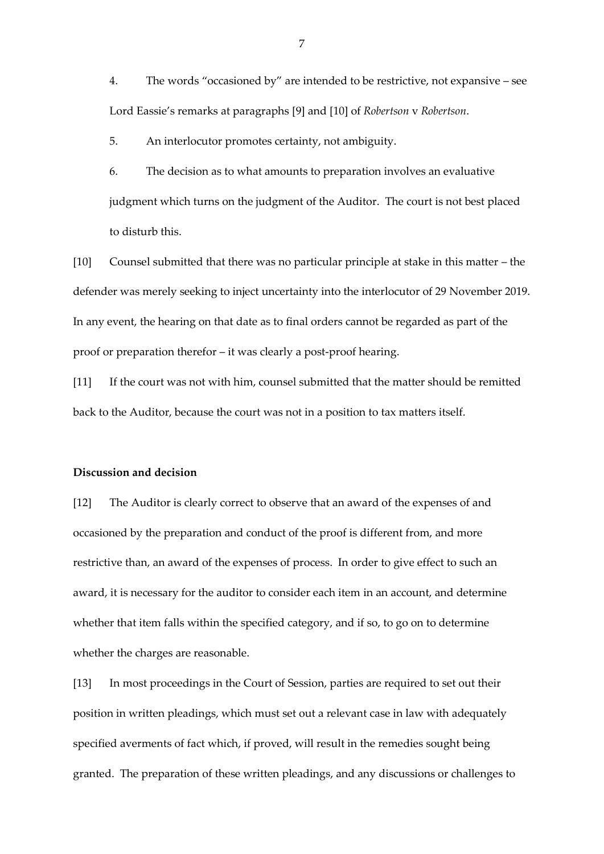4. The words "occasioned by" are intended to be restrictive, not expansive – see Lord Eassie's remarks at paragraphs [9] and [10] of *Robertson* v *Robertson*.

5. An interlocutor promotes certainty, not ambiguity.

6. The decision as to what amounts to preparation involves an evaluative judgment which turns on the judgment of the Auditor. The court is not best placed to disturb this.

[10] Counsel submitted that there was no particular principle at stake in this matter – the defender was merely seeking to inject uncertainty into the interlocutor of 29 November 2019. In any event, the hearing on that date as to final orders cannot be regarded as part of the proof or preparation therefor – it was clearly a post-proof hearing.

[11] If the court was not with him, counsel submitted that the matter should be remitted back to the Auditor, because the court was not in a position to tax matters itself.

### **Discussion and decision**

[12] The Auditor is clearly correct to observe that an award of the expenses of and occasioned by the preparation and conduct of the proof is different from, and more restrictive than, an award of the expenses of process. In order to give effect to such an award, it is necessary for the auditor to consider each item in an account, and determine whether that item falls within the specified category, and if so, to go on to determine whether the charges are reasonable.

[13] In most proceedings in the Court of Session, parties are required to set out their position in written pleadings, which must set out a relevant case in law with adequately specified averments of fact which, if proved, will result in the remedies sought being granted. The preparation of these written pleadings, and any discussions or challenges to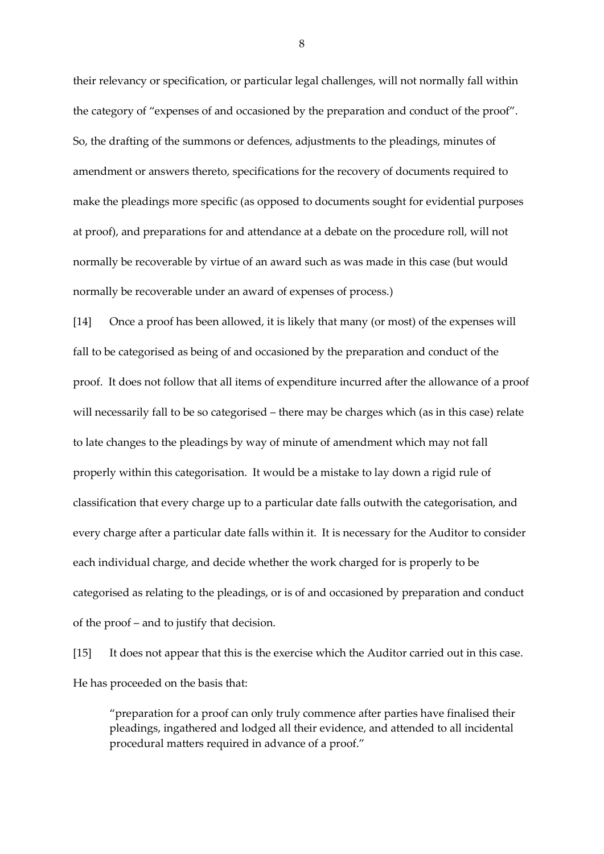their relevancy or specification, or particular legal challenges, will not normally fall within the category of "expenses of and occasioned by the preparation and conduct of the proof". So, the drafting of the summons or defences, adjustments to the pleadings, minutes of amendment or answers thereto, specifications for the recovery of documents required to make the pleadings more specific (as opposed to documents sought for evidential purposes at proof), and preparations for and attendance at a debate on the procedure roll, will not normally be recoverable by virtue of an award such as was made in this case (but would normally be recoverable under an award of expenses of process.)

[14] Once a proof has been allowed, it is likely that many (or most) of the expenses will fall to be categorised as being of and occasioned by the preparation and conduct of the proof. It does not follow that all items of expenditure incurred after the allowance of a proof will necessarily fall to be so categorised – there may be charges which (as in this case) relate to late changes to the pleadings by way of minute of amendment which may not fall properly within this categorisation. It would be a mistake to lay down a rigid rule of classification that every charge up to a particular date falls outwith the categorisation, and every charge after a particular date falls within it. It is necessary for the Auditor to consider each individual charge, and decide whether the work charged for is properly to be categorised as relating to the pleadings, or is of and occasioned by preparation and conduct of the proof – and to justify that decision.

[15] It does not appear that this is the exercise which the Auditor carried out in this case. He has proceeded on the basis that:

"preparation for a proof can only truly commence after parties have finalised their pleadings, ingathered and lodged all their evidence, and attended to all incidental procedural matters required in advance of a proof."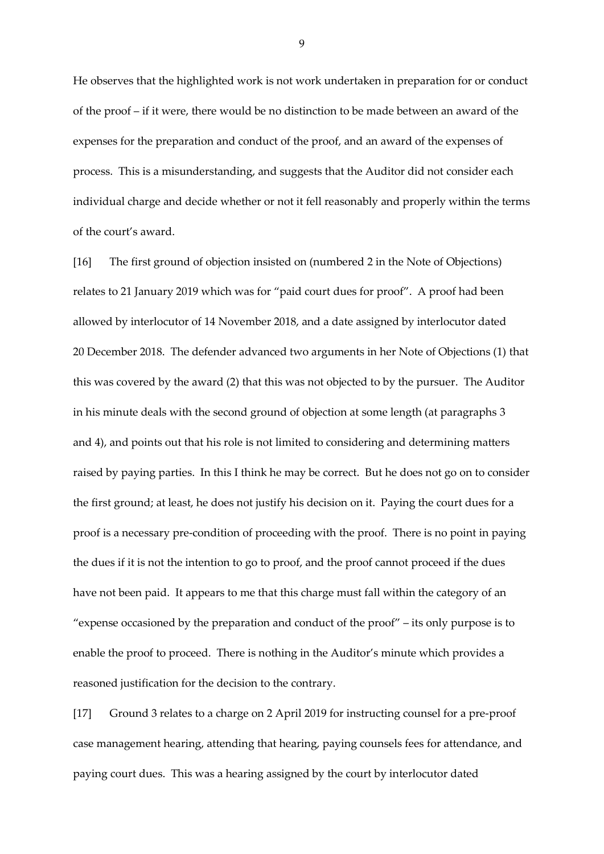He observes that the highlighted work is not work undertaken in preparation for or conduct of the proof – if it were, there would be no distinction to be made between an award of the expenses for the preparation and conduct of the proof, and an award of the expenses of process. This is a misunderstanding, and suggests that the Auditor did not consider each individual charge and decide whether or not it fell reasonably and properly within the terms of the court's award.

[16] The first ground of objection insisted on (numbered 2 in the Note of Objections) relates to 21 January 2019 which was for "paid court dues for proof". A proof had been allowed by interlocutor of 14 November 2018, and a date assigned by interlocutor dated 20 December 2018. The defender advanced two arguments in her Note of Objections (1) that this was covered by the award (2) that this was not objected to by the pursuer. The Auditor in his minute deals with the second ground of objection at some length (at paragraphs 3 and 4), and points out that his role is not limited to considering and determining matters raised by paying parties. In this I think he may be correct. But he does not go on to consider the first ground; at least, he does not justify his decision on it. Paying the court dues for a proof is a necessary pre-condition of proceeding with the proof. There is no point in paying the dues if it is not the intention to go to proof, and the proof cannot proceed if the dues have not been paid. It appears to me that this charge must fall within the category of an "expense occasioned by the preparation and conduct of the proof" – its only purpose is to enable the proof to proceed. There is nothing in the Auditor's minute which provides a reasoned justification for the decision to the contrary.

[17] Ground 3 relates to a charge on 2 April 2019 for instructing counsel for a pre-proof case management hearing, attending that hearing, paying counsels fees for attendance, and paying court dues. This was a hearing assigned by the court by interlocutor dated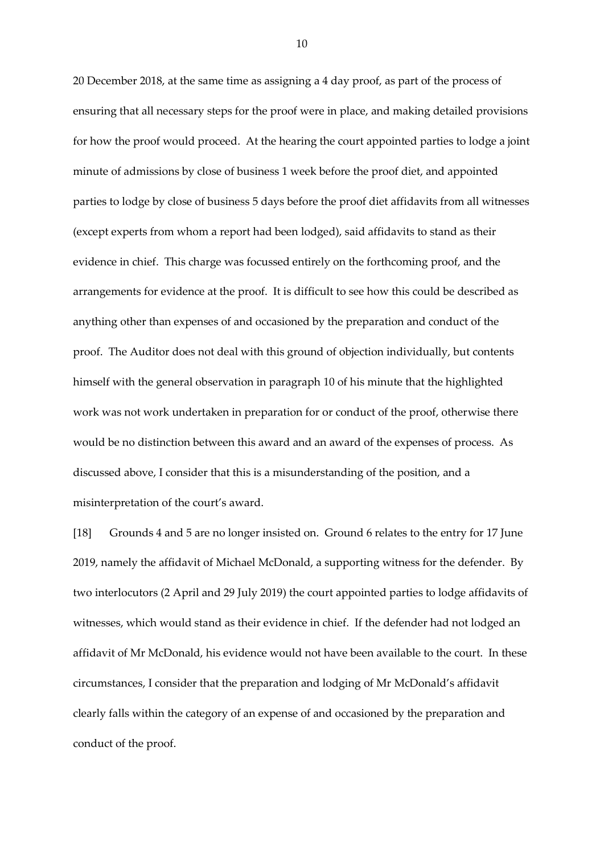20 December 2018, at the same time as assigning a 4 day proof, as part of the process of ensuring that all necessary steps for the proof were in place, and making detailed provisions for how the proof would proceed. At the hearing the court appointed parties to lodge a joint minute of admissions by close of business 1 week before the proof diet, and appointed parties to lodge by close of business 5 days before the proof diet affidavits from all witnesses (except experts from whom a report had been lodged), said affidavits to stand as their evidence in chief. This charge was focussed entirely on the forthcoming proof, and the arrangements for evidence at the proof. It is difficult to see how this could be described as anything other than expenses of and occasioned by the preparation and conduct of the proof. The Auditor does not deal with this ground of objection individually, but contents himself with the general observation in paragraph 10 of his minute that the highlighted work was not work undertaken in preparation for or conduct of the proof, otherwise there would be no distinction between this award and an award of the expenses of process. As discussed above, I consider that this is a misunderstanding of the position, and a misinterpretation of the court's award.

[18] Grounds 4 and 5 are no longer insisted on. Ground 6 relates to the entry for 17 June 2019, namely the affidavit of Michael McDonald, a supporting witness for the defender. By two interlocutors (2 April and 29 July 2019) the court appointed parties to lodge affidavits of witnesses, which would stand as their evidence in chief. If the defender had not lodged an affidavit of Mr McDonald, his evidence would not have been available to the court. In these circumstances, I consider that the preparation and lodging of Mr McDonald's affidavit clearly falls within the category of an expense of and occasioned by the preparation and conduct of the proof.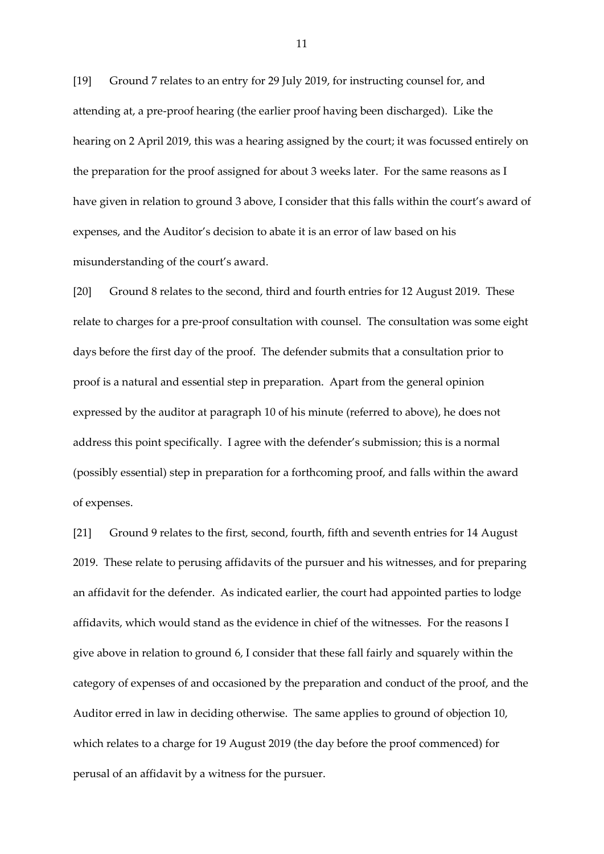[19] Ground 7 relates to an entry for 29 July 2019, for instructing counsel for, and attending at, a pre-proof hearing (the earlier proof having been discharged). Like the hearing on 2 April 2019, this was a hearing assigned by the court; it was focussed entirely on the preparation for the proof assigned for about 3 weeks later. For the same reasons as I have given in relation to ground 3 above, I consider that this falls within the court's award of expenses, and the Auditor's decision to abate it is an error of law based on his misunderstanding of the court's award.

[20] Ground 8 relates to the second, third and fourth entries for 12 August 2019. These relate to charges for a pre-proof consultation with counsel. The consultation was some eight days before the first day of the proof. The defender submits that a consultation prior to proof is a natural and essential step in preparation. Apart from the general opinion expressed by the auditor at paragraph 10 of his minute (referred to above), he does not address this point specifically. I agree with the defender's submission; this is a normal (possibly essential) step in preparation for a forthcoming proof, and falls within the award of expenses.

[21] Ground 9 relates to the first, second, fourth, fifth and seventh entries for 14 August 2019. These relate to perusing affidavits of the pursuer and his witnesses, and for preparing an affidavit for the defender. As indicated earlier, the court had appointed parties to lodge affidavits, which would stand as the evidence in chief of the witnesses. For the reasons I give above in relation to ground 6, I consider that these fall fairly and squarely within the category of expenses of and occasioned by the preparation and conduct of the proof, and the Auditor erred in law in deciding otherwise. The same applies to ground of objection 10, which relates to a charge for 19 August 2019 (the day before the proof commenced) for perusal of an affidavit by a witness for the pursuer.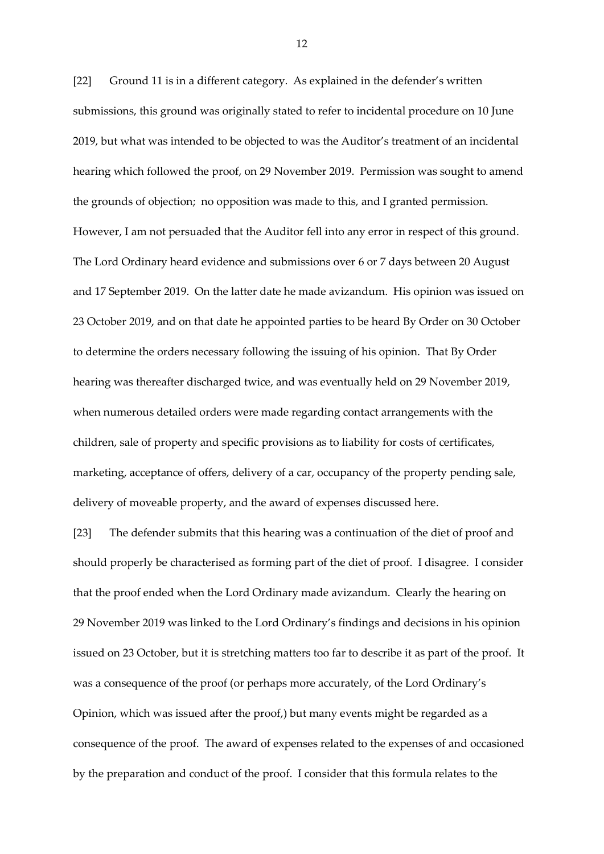[22] Ground 11 is in a different category. As explained in the defender's written submissions, this ground was originally stated to refer to incidental procedure on 10 June 2019, but what was intended to be objected to was the Auditor's treatment of an incidental hearing which followed the proof, on 29 November 2019. Permission was sought to amend the grounds of objection; no opposition was made to this, and I granted permission. However, I am not persuaded that the Auditor fell into any error in respect of this ground. The Lord Ordinary heard evidence and submissions over 6 or 7 days between 20 August and 17 September 2019. On the latter date he made avizandum. His opinion was issued on 23 October 2019, and on that date he appointed parties to be heard By Order on 30 October to determine the orders necessary following the issuing of his opinion. That By Order hearing was thereafter discharged twice, and was eventually held on 29 November 2019, when numerous detailed orders were made regarding contact arrangements with the children, sale of property and specific provisions as to liability for costs of certificates, marketing, acceptance of offers, delivery of a car, occupancy of the property pending sale, delivery of moveable property, and the award of expenses discussed here.

[23] The defender submits that this hearing was a continuation of the diet of proof and should properly be characterised as forming part of the diet of proof. I disagree. I consider that the proof ended when the Lord Ordinary made avizandum. Clearly the hearing on 29 November 2019 was linked to the Lord Ordinary's findings and decisions in his opinion issued on 23 October, but it is stretching matters too far to describe it as part of the proof. It was a consequence of the proof (or perhaps more accurately, of the Lord Ordinary's Opinion, which was issued after the proof,) but many events might be regarded as a consequence of the proof. The award of expenses related to the expenses of and occasioned by the preparation and conduct of the proof. I consider that this formula relates to the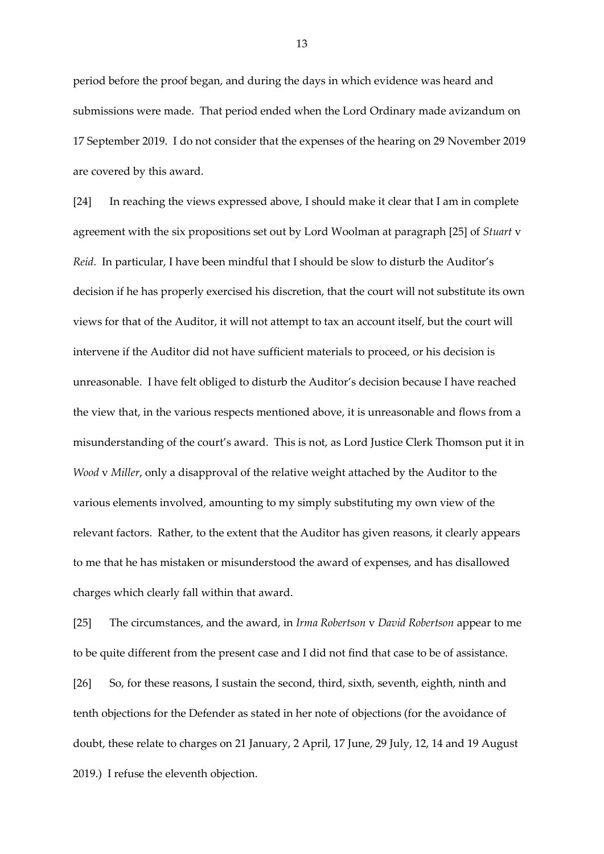period before the proof began, and during the days in which evidence was heard and submissions were made. That period ended when the Lord Ordinary made avizandum on 17 September 2019. I do not consider that the expenses of the hearing on 29 November 2019 are covered by this award.

[24] In reaching the views expressed above, I should make it clear that I am in complete agreement with the six propositions set out by Lord Woolman at paragraph [25] of *Stuart* v *Reid*. In particular, I have been mindful that I should be slow to disturb the Auditor's decision if he has properly exercised his discretion, that the court will not substitute its own views for that of the Auditor, it will not attempt to tax an account itself, but the court will intervene if the Auditor did not have sufficient materials to proceed, or his decision is unreasonable. I have felt obliged to disturb the Auditor's decision because I have reached the view that, in the various respects mentioned above, it is unreasonable and flows from a misunderstanding of the court's award. This is not, as Lord Justice Clerk Thomson put it in *Wood* v *Miller*, only a disapproval of the relative weight attached by the Auditor to the various elements involved, amounting to my simply substituting my own view of the relevant factors. Rather, to the extent that the Auditor has given reasons, it clearly appears to me that he has mistaken or misunderstood the award of expenses, and has disallowed charges which clearly fall within that award.

[25] The circumstances, and the award, in *Irma Robertson* v *David Robertson* appear to me to be quite different from the present case and I did not find that case to be of assistance. [26] So, for these reasons, I sustain the second, third, sixth, seventh, eighth, ninth and tenth objections for the Defender as stated in her note of objections (for the avoidance of doubt, these relate to charges on 21 January, 2 April, 17 June, 29 July, 12, 14 and 19 August 2019.) I refuse the eleventh objection.